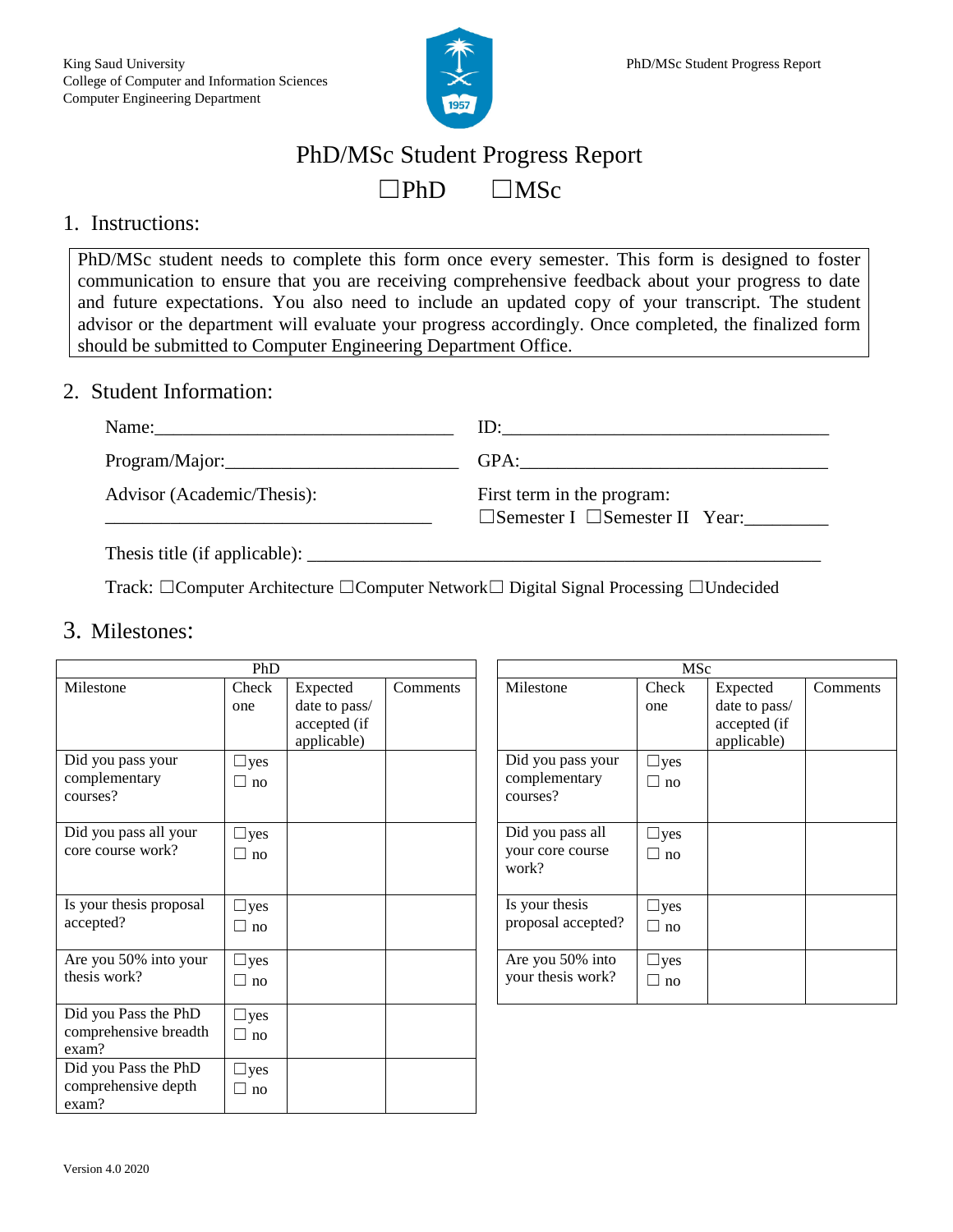

# PhD/MSc Student Progress Report  $\Box$ PhD  $\Box$ MSc

#### 1. Instructions:

PhD/MSc student needs to complete this form once every semester. This form is designed to foster communication to ensure that you are receiving comprehensive feedback about your progress to date and future expectations. You also need to include an updated copy of your transcript. The student advisor or the department will evaluate your progress accordingly. Once completed, the finalized form should be submitted to Computer Engineering Department Office.

#### 2. Student Information:

|                                                           | $\mathbf{H}$                                                             |
|-----------------------------------------------------------|--------------------------------------------------------------------------|
| Program/Major:                                            | GPA:                                                                     |
| Advisor (Academic/Thesis):                                | First term in the program:<br>$\Box$ Semester I $\Box$ Semester II Year: |
| $\mathbf{m}$ , $\mathbf{m}$ , $\mathbf{m}$ , $\mathbf{m}$ |                                                                          |

Thesis title (if applicable):  $\overline{\phantom{a}}$ 

Track: ☐Computer Architecture ☐Computer Network☐ Digital Signal Processing ☐Undecided

#### 3. Milestones:

|                                                        | PhD                     |                                                          |          |                                                | MSc                     |                                                          |          |
|--------------------------------------------------------|-------------------------|----------------------------------------------------------|----------|------------------------------------------------|-------------------------|----------------------------------------------------------|----------|
| Milestone                                              | Check<br>one            | Expected<br>date to pass/<br>accepted (if<br>applicable) | Comments | Milestone                                      | Check<br>one            | Expected<br>date to pass/<br>accepted (if<br>applicable) | Comments |
| Did you pass your<br>complementary<br>courses?         | $\Box$ yes<br>$\Box$ no |                                                          |          | Did you pass your<br>complementary<br>courses? | $\Box$ yes<br>$\Box$ no |                                                          |          |
| Did you pass all your<br>core course work?             | $\Box$ yes<br>$\Box$ no |                                                          |          | Did you pass all<br>your core course<br>work?  | $\Box$ yes<br>$\Box$ no |                                                          |          |
| Is your thesis proposal<br>accepted?                   | $\Box$ yes<br>$\Box$ no |                                                          |          | Is your thesis<br>proposal accepted?           | $\Box$ yes<br>$\Box$ no |                                                          |          |
| Are you 50% into your<br>thesis work?                  | $\Box$ yes<br>$\Box$ no |                                                          |          | Are you 50% into<br>your thesis work?          | $\Box$ yes<br>$\Box$ no |                                                          |          |
| Did you Pass the PhD<br>comprehensive breadth<br>exam? | $\Box$ yes<br>$\Box$ no |                                                          |          |                                                |                         |                                                          |          |
| Did you Pass the PhD<br>comprehensive depth<br>exam?   | $\Box$ yes<br>$\Box$ no |                                                          |          |                                                |                         |                                                          |          |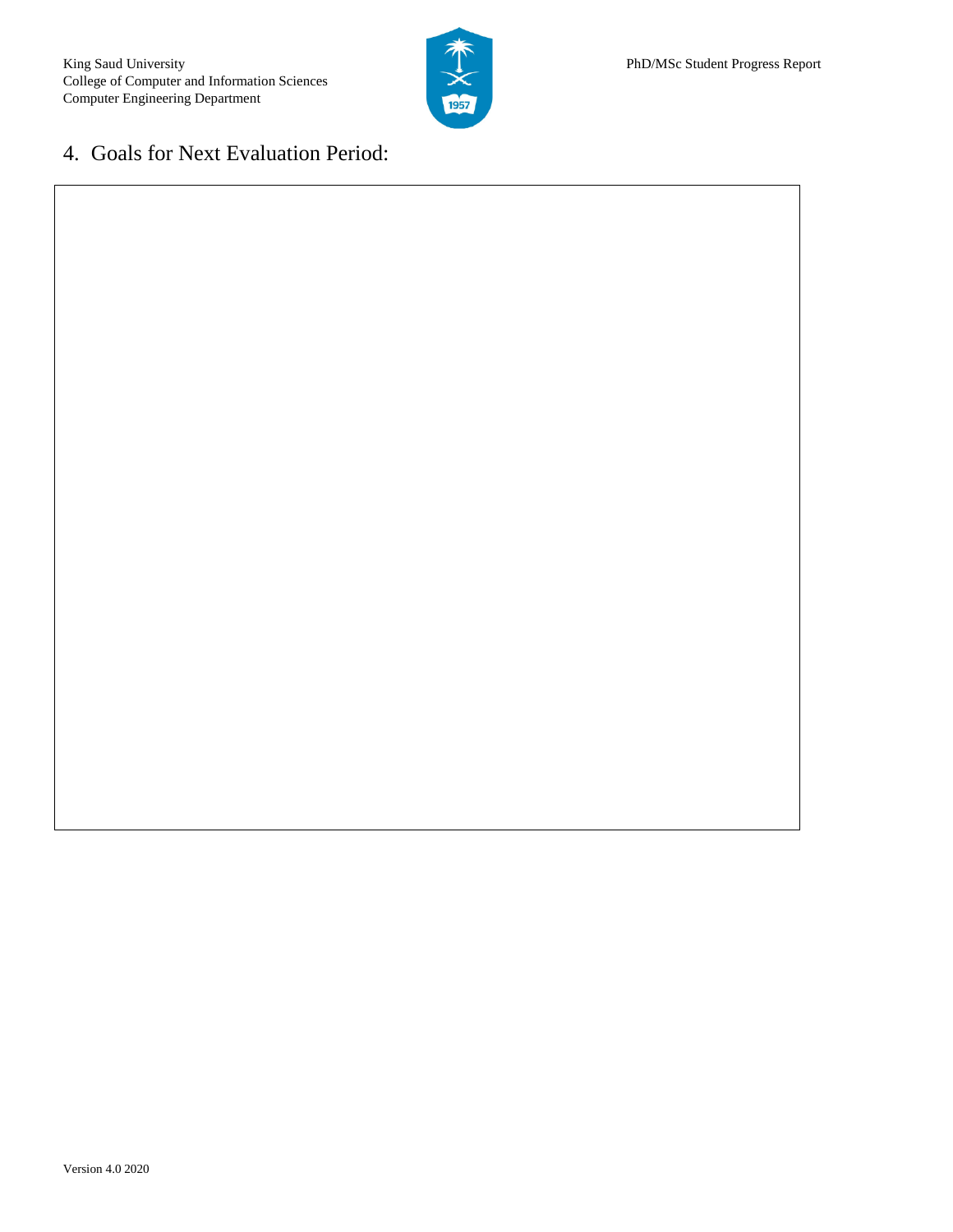

#### 4. Goals for Next Evaluation Period: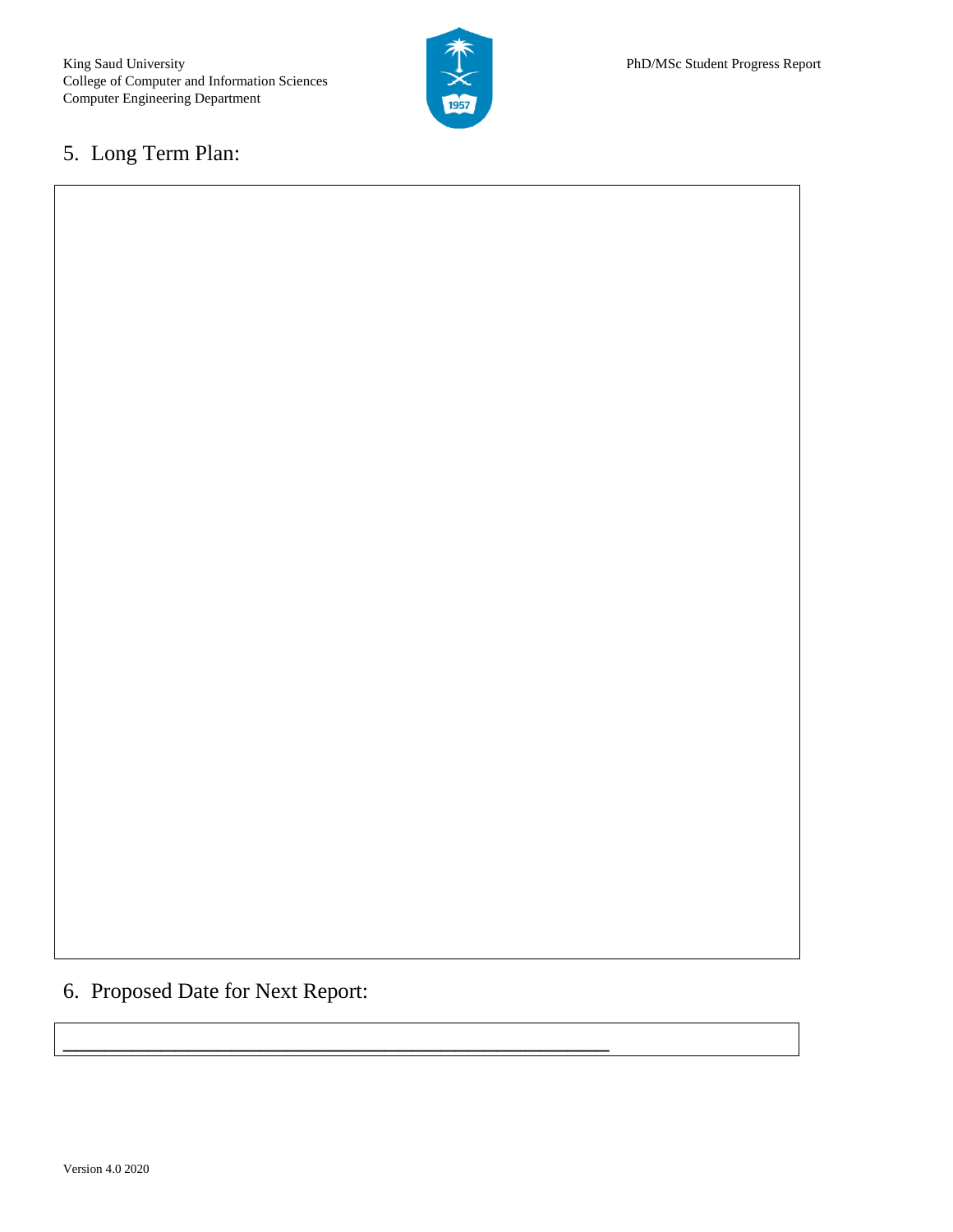

### 5. Long Term Plan:

### 6. Proposed Date for Next Report:

\_\_\_\_\_\_\_\_\_\_\_\_\_\_\_\_\_\_\_\_\_\_\_\_\_\_\_\_\_\_\_\_\_\_\_\_\_\_\_